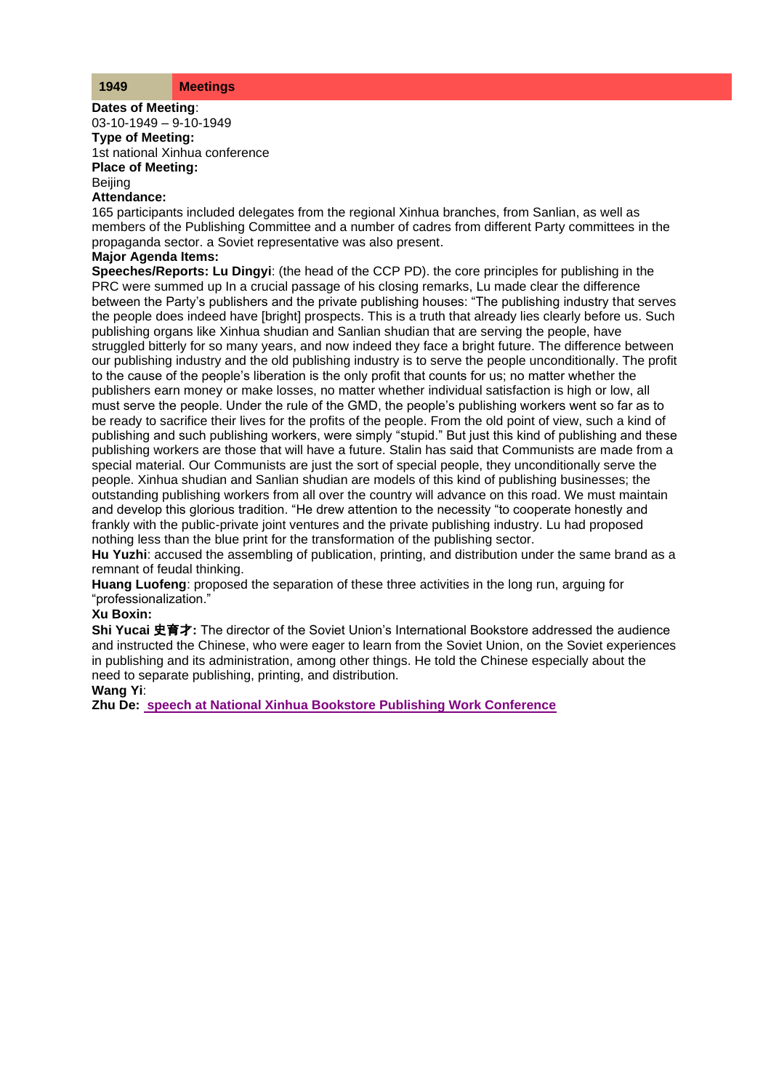**Dates of Meeting**: 03-10-1949 – 9-10-1949 **Type of Meeting:** 1st national Xinhua conference **Place of Meeting:** Beijing

# **Attendance:**

165 participants included delegates from the regional Xinhua branches, from Sanlian, as well as members of the Publishing Committee and a number of cadres from different Party committees in the propaganda sector. a Soviet representative was also present.

#### **Major Agenda Items:**

**Speeches/Reports: Lu Dingyi**: (the head of the CCP PD). the core principles for publishing in the PRC were summed up In a crucial passage of his closing remarks, Lu made clear the difference between the Party's publishers and the private publishing houses: "The publishing industry that serves the people does indeed have [bright] prospects. This is a truth that already lies clearly before us. Such publishing organs like Xinhua shudian and Sanlian shudian that are serving the people, have struggled bitterly for so many years, and now indeed they face a bright future. The difference between our publishing industry and the old publishing industry is to serve the people unconditionally. The profit to the cause of the people's liberation is the only profit that counts for us; no matter whether the publishers earn money or make losses, no matter whether individual satisfaction is high or low, all must serve the people. Under the rule of the GMD, the people's publishing workers went so far as to be ready to sacrifice their lives for the profits of the people. From the old point of view, such a kind of publishing and such publishing workers, were simply "stupid." But just this kind of publishing and these publishing workers are those that will have a future. Stalin has said that Communists are made from a special material. Our Communists are just the sort of special people, they unconditionally serve the people. Xinhua shudian and Sanlian shudian are models of this kind of publishing businesses; the outstanding publishing workers from all over the country will advance on this road. We must maintain and develop this glorious tradition. "He drew attention to the necessity "to cooperate honestly and frankly with the public-private joint ventures and the private publishing industry. Lu had proposed nothing less than the blue print for the transformation of the publishing sector.

**Hu Yuzhi**: accused the assembling of publication, printing, and distribution under the same brand as a remnant of feudal thinking.

**Huang Luofeng**: proposed the separation of these three activities in the long run, arguing for "professionalization."

### **Xu Boxin:**

**Shi Yucai** 史育才**:** The director of the Soviet Union's International Bookstore addressed the audience and instructed the Chinese, who were eager to learn from the Soviet Union, on the Soviet experiences in publishing and its administration, among other things. He told the Chinese especially about the need to separate publishing, printing, and distribution.

## **Wang Yi**:

**Zhu De: [speech at National Xinhua Bookstore Publishing Work Conference](http://www.commonprogram.science/documents/Zhu%20De%20speech%20at%20National%20Xinhua%20Bookstore%20Publishing%20Work%20Conference%20.pdf)**